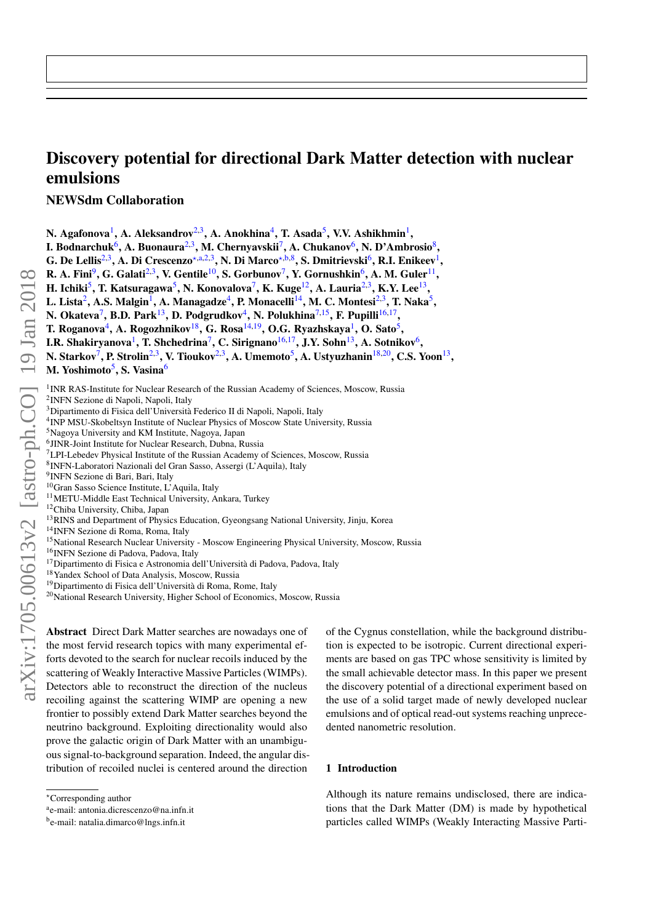# Discovery potential for directional Dark Matter detection with nuclear emulsions

NEWSdm Collaboration

N. Agafonova $^1$ , A. Aleksandrov $^{2,3}$ , A. Anokhina $^4$ , T. Asada $^5$ , V.V. Ashikhmin $^1$ ,

I. Bodnarchuk<sup>6</sup>, A. Buonaura<sup>2,3</sup>, M. Chernyavskii<sup>7</sup>, A. Chukanov<sup>6</sup>, N. D'Ambrosio<sup>8</sup>,

G. De Lellis<sup>2,3</sup>, A. Di Crescenzo\*<sup>[,a,](#page-0-1)2,3</sup>, N. Di Marco\*<sup>[,b,](#page-0-2)8</sup>, S. Dmitrievski<sup>6</sup>, R.I. Enikeev<sup>1</sup>,

R. A. Fini $^9$ , G. Galati $^{2,3}$ , V. Gentile $^{10}$ , S. Gorbunov $^7$ , Y. Gornushkin $^6$ , A. M. Guler $^{11}$ ,

H. Ichiki<sup>5</sup>, T. Katsuragawa<sup>5</sup>, N. Konovalova<sup>7</sup>, K. Kuge<sup>12</sup>, A. Lauria<sup>2,3</sup>, K.Y. Lee<sup>13</sup>,

L. Lista $^2$ , A.S. Malgin $^1$ , A. Managadze $^4$ , P. Monacelli $^{14}$ , M. C. Montesi $^{2,3}$ , T. Naka $^5$ ,

N. Okateva<sup>7</sup>, B.D. Park<sup>13</sup>, D. Podgrudkov<sup>4</sup>, N. Polukhina<sup>7,15</sup>, F. Pupilli<sup>16,17</sup>,

T. Roganova<sup>4</sup>, A. Rogozhnikov<sup>18</sup>, G. Rosa<sup>14,19</sup>, O.G. Ryazhskaya<sup>1</sup>, O. Sato<sup>5</sup>,

I.R. Shakiryanova<sup>1</sup>, T. Shchedrina<sup>7</sup>, C. Sirignano<sup>16,17</sup>, J.Y. Sohn<sup>13</sup>, A. Sotnikov<sup>6</sup>,

N. Starkov<sup>7</sup>, P. Strolin<sup>2,3</sup>, V. Tioukov<sup>2,3</sup>, A. Umemoto<sup>5</sup>, A. Ustyuzhanin<sup>18,20</sup>, C.S. Yoon<sup>13</sup>,

M. Yoshimoto<sup>5</sup>, S. Vasina<sup>6</sup>

<sup>1</sup> INR RAS-Institute for Nuclear Research of the Russian Academy of Sciences, Moscow, Russia

- 2 INFN Sezione di Napoli, Napoli, Italy
- <sup>3</sup>Dipartimento di Fisica dell'Università Federico II di Napoli, Napoli, Italy

<sup>4</sup>INP MSU-Skobeltsyn Institute of Nuclear Physics of Moscow State University, Russia

- <sup>5</sup>Nagoya University and KM Institute, Nagoya, Japan
- 6 JINR-Joint Institute for Nuclear Research, Dubna, Russia
- $7$ LPI-Lebedev Physical Institute of the Russian Academy of Sciences, Moscow, Russia
- 8 INFN-Laboratori Nazionali del Gran Sasso, Assergi (L'Aquila), Italy
- 9 INFN Sezione di Bari, Bari, Italy
- <sup>10</sup>Gran Sasso Science Institute, L'Aquila, Italy
- <sup>11</sup>METU-Middle East Technical University, Ankara, Turkey
- <sup>12</sup>Chiba University, Chiba, Japan
- <sup>13</sup>RINS and Department of Physics Education, Gyeongsang National University, Jinju, Korea
- <sup>14</sup>INFN Sezione di Roma, Roma, Italy
- <sup>15</sup>National Research Nuclear University Moscow Engineering Physical University, Moscow, Russia
- <sup>16</sup>INFN Sezione di Padova, Padova, Italy
- <sup>17</sup>Dipartimento di Fisica e Astronomia dell'Università di Padova, Padova, Italy
- <sup>18</sup>Yandex School of Data Analysis, Moscow, Russia
- <sup>19</sup>Dipartimento di Fisica dell'Università di Roma, Rome, Italy
- <sup>20</sup>National Research University, Higher School of Economics, Moscow, Russia

arXiv:1705.00613v2 [astro-ph.CO] 19 Jan 2018 arXiv:1705.00613v2 [astro-ph.CO] 19 Jan 2018

Abstract Direct Dark Matter searches are nowadays one of the most fervid research topics with many experimental efforts devoted to the search for nuclear recoils induced by the scattering of Weakly Interactive Massive Particles (WIMPs). Detectors able to reconstruct the direction of the nucleus recoiling against the scattering WIMP are opening a new frontier to possibly extend Dark Matter searches beyond the neutrino background. Exploiting directionality would also prove the galactic origin of Dark Matter with an unambiguous signal-to-background separation. Indeed, the angular distribution of recoiled nuclei is centered around the direction

of the Cygnus constellation, while the background distribution is expected to be isotropic. Current directional experiments are based on gas TPC whose sensitivity is limited by the small achievable detector mass. In this paper we present the discovery potential of a directional experiment based on the use of a solid target made of newly developed nuclear emulsions and of optical read-out systems reaching unprecedented nanometric resolution.

#### 1 Introduction

Although its nature remains undisclosed, there are indications that the Dark Matter (DM) is made by hypothetical particles called WIMPs (Weakly Interacting Massive Parti-

<span id="page-0-0"></span><sup>?</sup>Corresponding author

<span id="page-0-1"></span>a e-mail: antonia.dicrescenzo@na.infn.it

<span id="page-0-2"></span>b e-mail: natalia.dimarco@lngs.infn.it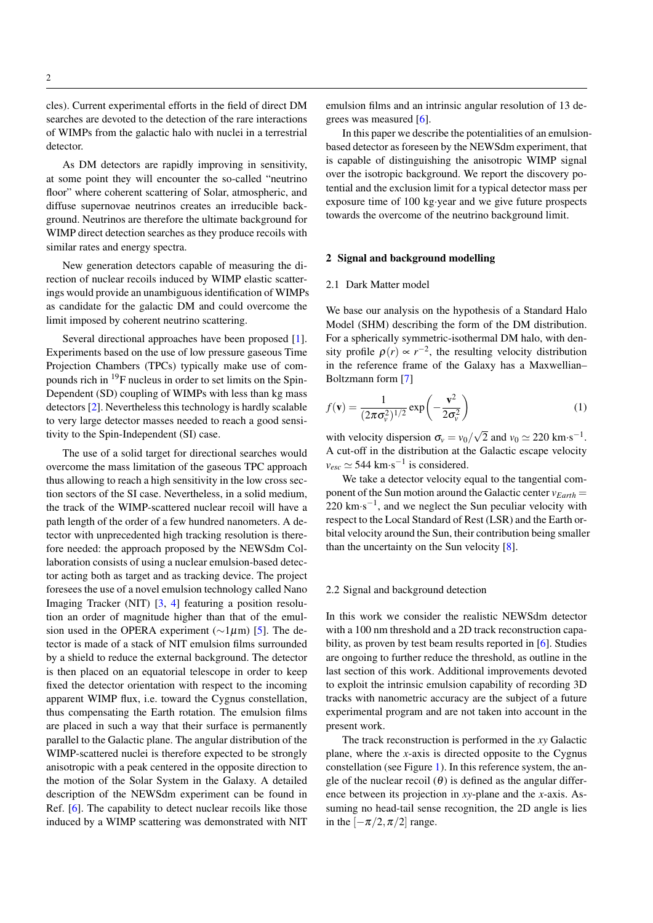cles). Current experimental efforts in the field of direct DM searches are devoted to the detection of the rare interactions of WIMPs from the galactic halo with nuclei in a terrestrial detector.

As DM detectors are rapidly improving in sensitivity, at some point they will encounter the so-called "neutrino floor" where coherent scattering of Solar, atmospheric, and diffuse supernovae neutrinos creates an irreducible background. Neutrinos are therefore the ultimate background for WIMP direct detection searches as they produce recoils with similar rates and energy spectra.

New generation detectors capable of measuring the direction of nuclear recoils induced by WIMP elastic scatterings would provide an unambiguous identification of WIMPs as candidate for the galactic DM and could overcome the limit imposed by coherent neutrino scattering.

Several directional approaches have been proposed [\[1\]](#page-7-0). Experiments based on the use of low pressure gaseous Time Projection Chambers (TPCs) typically make use of compounds rich in <sup>19</sup>F nucleus in order to set limits on the Spin-Dependent (SD) coupling of WIMPs with less than kg mass detectors [\[2\]](#page-7-1). Nevertheless this technology is hardly scalable to very large detector masses needed to reach a good sensitivity to the Spin-Independent (SI) case.

The use of a solid target for directional searches would overcome the mass limitation of the gaseous TPC approach thus allowing to reach a high sensitivity in the low cross section sectors of the SI case. Nevertheless, in a solid medium, the track of the WIMP-scattered nuclear recoil will have a path length of the order of a few hundred nanometers. A detector with unprecedented high tracking resolution is therefore needed: the approach proposed by the NEWSdm Collaboration consists of using a nuclear emulsion-based detector acting both as target and as tracking device. The project foresees the use of a novel emulsion technology called Nano Imaging Tracker (NIT) [\[3,](#page-7-2) [4\]](#page-7-3) featuring a position resolution an order of magnitude higher than that of the emulsion used in the OPERA experiment ( $\sim$ 1µm) [\[5\]](#page-7-4). The detector is made of a stack of NIT emulsion films surrounded by a shield to reduce the external background. The detector is then placed on an equatorial telescope in order to keep fixed the detector orientation with respect to the incoming apparent WIMP flux, i.e. toward the Cygnus constellation, thus compensating the Earth rotation. The emulsion films are placed in such a way that their surface is permanently parallel to the Galactic plane. The angular distribution of the WIMP-scattered nuclei is therefore expected to be strongly anisotropic with a peak centered in the opposite direction to the motion of the Solar System in the Galaxy. A detailed description of the NEWSdm experiment can be found in Ref. [\[6\]](#page-7-5). The capability to detect nuclear recoils like those induced by a WIMP scattering was demonstrated with NIT emulsion films and an intrinsic angular resolution of 13 degrees was measured [\[6\]](#page-7-5).

In this paper we describe the potentialities of an emulsionbased detector as foreseen by the NEWSdm experiment, that is capable of distinguishing the anisotropic WIMP signal over the isotropic background. We report the discovery potential and the exclusion limit for a typical detector mass per exposure time of 100 kg·year and we give future prospects towards the overcome of the neutrino background limit.

### 2 Signal and background modelling

#### 2.1 Dark Matter model

We base our analysis on the hypothesis of a Standard Halo Model (SHM) describing the form of the DM distribution. For a spherically symmetric-isothermal DM halo, with density profile  $\rho(r) \propto r^{-2}$ , the resulting velocity distribution in the reference frame of the Galaxy has a Maxwellian– Boltzmann form [\[7\]](#page-7-6)

$$
f(\mathbf{v}) = \frac{1}{(2\pi\sigma_v^2)^{1/2}} \exp\left(-\frac{\mathbf{v}^2}{2\sigma_v^2}\right)
$$
 (1)

with velocity dispersion  $\sigma_v = v_0/$ √  $\overline{2}$  and  $v_0 \simeq 220$  km·s<sup>-1</sup>. A cut-off in the distribution at the Galactic escape velocity  $v_{esc} \simeq 544 \text{ km} \cdot \text{s}^{-1}$  is considered.

We take a detector velocity equal to the tangential component of the Sun motion around the Galactic center  $v_{Earth}$  =  $220 \text{ km} \cdot \text{s}^{-1}$ , and we neglect the Sun peculiar velocity with respect to the Local Standard of Rest (LSR) and the Earth orbital velocity around the Sun, their contribution being smaller than the uncertainty on the Sun velocity [\[8\]](#page-7-7).

#### 2.2 Signal and background detection

In this work we consider the realistic NEWSdm detector with a 100 nm threshold and a 2D track reconstruction capability, as proven by test beam results reported in [\[6\]](#page-7-5). Studies are ongoing to further reduce the threshold, as outline in the last section of this work. Additional improvements devoted to exploit the intrinsic emulsion capability of recording 3D tracks with nanometric accuracy are the subject of a future experimental program and are not taken into account in the present work.

The track reconstruction is performed in the *xy* Galactic plane, where the *x*-axis is directed opposite to the Cygnus constellation (see Figure [1\)](#page-2-0). In this reference system, the angle of the nuclear recoil  $(\theta)$  is defined as the angular difference between its projection in *xy*-plane and the *x*-axis. Assuming no head-tail sense recognition, the 2D angle is lies in the  $[-\pi/2, \pi/2]$  range.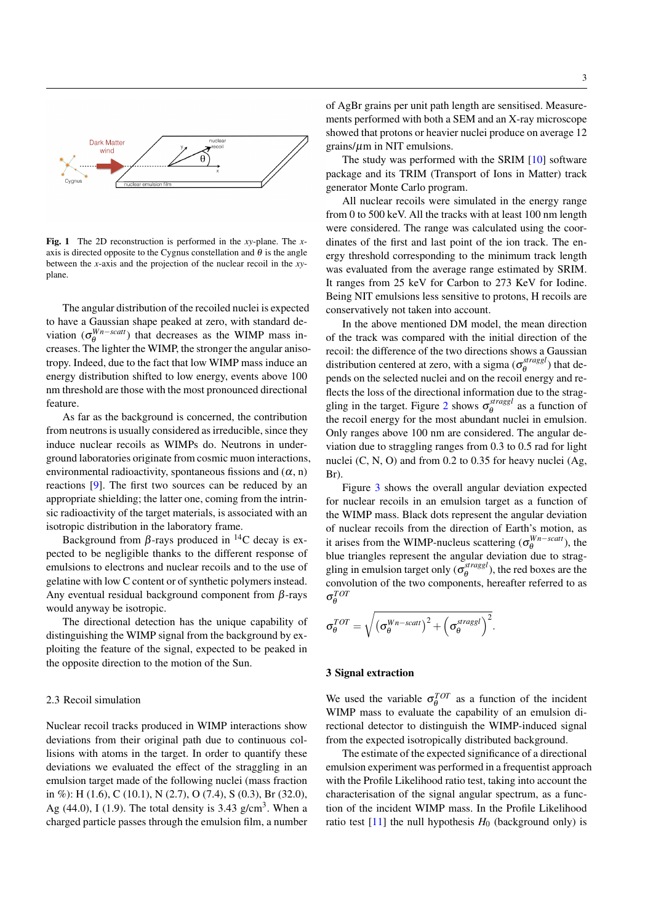

<span id="page-2-0"></span>Fig. 1 The 2D reconstruction is performed in the *xy*-plane. The *x*axis is directed opposite to the Cygnus constellation and  $\theta$  is the angle between the *x*-axis and the projection of the nuclear recoil in the *xy*plane.

The angular distribution of the recoiled nuclei is expected to have a Gaussian shape peaked at zero, with standard deviation ( $\sigma_{\theta}^{Wn-scatt}$ ) that decreases as the WIMP mass increases. The lighter the WIMP, the stronger the angular anisotropy. Indeed, due to the fact that low WIMP mass induce an energy distribution shifted to low energy, events above 100 nm threshold are those with the most pronounced directional feature.

As far as the background is concerned, the contribution from neutrons is usually considered as irreducible, since they induce nuclear recoils as WIMPs do. Neutrons in underground laboratories originate from cosmic muon interactions, environmental radioactivity, spontaneous fissions and  $(\alpha, n)$ reactions [\[9\]](#page-7-8). The first two sources can be reduced by an appropriate shielding; the latter one, coming from the intrinsic radioactivity of the target materials, is associated with an isotropic distribution in the laboratory frame.

Background from  $\beta$ -rays produced in <sup>14</sup>C decay is expected to be negligible thanks to the different response of emulsions to electrons and nuclear recoils and to the use of gelatine with low C content or of synthetic polymers instead. Any eventual residual background component from  $\beta$ -rays would anyway be isotropic.

The directional detection has the unique capability of distinguishing the WIMP signal from the background by exploiting the feature of the signal, expected to be peaked in the opposite direction to the motion of the Sun.

## 2.3 Recoil simulation

Nuclear recoil tracks produced in WIMP interactions show deviations from their original path due to continuous collisions with atoms in the target. In order to quantify these deviations we evaluated the effect of the straggling in an emulsion target made of the following nuclei (mass fraction in %): H (1.6), C (10.1), N (2.7), O (7.4), S (0.3), Br (32.0), Ag  $(44.0)$ , I  $(1.9)$ . The total density is 3.43 g/cm<sup>3</sup>. When a charged particle passes through the emulsion film, a number

of AgBr grains per unit path length are sensitised. Measurements performed with both a SEM and an X-ray microscope showed that protons or heavier nuclei produce on average 12  $grains/\mu m$  in NIT emulsions.

The study was performed with the SRIM [\[10\]](#page-7-9) software package and its TRIM (Transport of Ions in Matter) track generator Monte Carlo program.

All nuclear recoils were simulated in the energy range from 0 to 500 keV. All the tracks with at least 100 nm length were considered. The range was calculated using the coordinates of the first and last point of the ion track. The energy threshold corresponding to the minimum track length was evaluated from the average range estimated by SRIM. It ranges from 25 keV for Carbon to 273 KeV for Iodine. Being NIT emulsions less sensitive to protons, H recoils are conservatively not taken into account.

In the above mentioned DM model, the mean direction of the track was compared with the initial direction of the recoil: the difference of the two directions shows a Gaussian distribution centered at zero, with a sigma ( $\sigma_{\theta}^{stragsl}$  $\theta_{\theta}^{stragg}$ ) that depends on the selected nuclei and on the recoil energy and reflects the loss of the directional information due to the strag-gling in the target. Figure [2](#page-3-0) shows  $\sigma_{\theta}^{straggi}$  $\theta_{\theta}^{singsi}$  as a function of the recoil energy for the most abundant nuclei in emulsion. Only ranges above 100 nm are considered. The angular deviation due to straggling ranges from 0.3 to 0.5 rad for light nuclei (C, N, O) and from 0.2 to 0.35 for heavy nuclei (Ag, Br).

Figure [3](#page-3-1) shows the overall angular deviation expected for nuclear recoils in an emulsion target as a function of the WIMP mass. Black dots represent the angular deviation of nuclear recoils from the direction of Earth's motion, as it arises from the WIMP-nucleus scattering  $(\sigma_{\theta}^{Wn - scatt})$ , the blue triangles represent the angular deviation due to straggling in emulsion target only  $(\sigma_{\theta}^{stragg})$  $\theta_{\theta}^{s, \text{tragg}l}$ ), the red boxes are the convolution of the two components, hereafter referred to as σ *TOT* θ

$$
\sigma_{\theta}^{TOT} = \sqrt{\left(\sigma_{\theta}^{Wn - scatt}\right)^2 + \left(\sigma_{\theta}^{straggl}\right)^2}.
$$

#### <span id="page-2-1"></span>3 Signal extraction

We used the variable  $\sigma_{\theta}^{TOT}$  as a function of the incident WIMP mass to evaluate the capability of an emulsion directional detector to distinguish the WIMP-induced signal from the expected isotropically distributed background.

The estimate of the expected significance of a directional emulsion experiment was performed in a frequentist approach with the Profile Likelihood ratio test, taking into account the characterisation of the signal angular spectrum, as a function of the incident WIMP mass. In the Profile Likelihood ratio test  $[11]$  the null hypothesis  $H_0$  (background only) is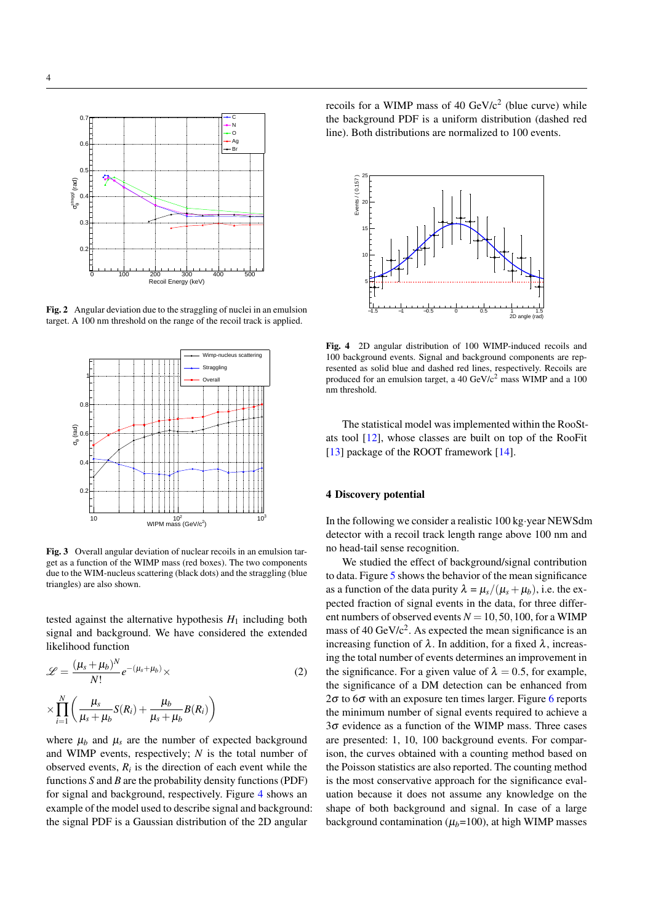

<span id="page-3-0"></span>Fig. 2 Angular deviation due to the straggling of nuclei in an emulsion target. A 100 nm threshold on the range of the recoil track is applied.



<span id="page-3-1"></span>Fig. 3 Overall angular deviation of nuclear recoils in an emulsion target as a function of the WIMP mass (red boxes). The two components due to the WIM-nucleus scattering (black dots) and the straggling (blue triangles) are also shown.

tested against the alternative hypothesis  $H_1$  including both signal and background. We have considered the extended likelihood function

$$
\mathcal{L} = \frac{(\mu_s + \mu_b)^N}{N!} e^{-(\mu_s + \mu_b)} \times \n\times \prod_{i=1}^N \left( \frac{\mu_s}{\mu_s + \mu_b} S(R_i) + \frac{\mu_b}{\mu_s + \mu_b} B(R_i) \right)
$$
\n(2)

where  $\mu_b$  and  $\mu_s$  are the number of expected background and WIMP events, respectively; *N* is the total number of observed events,  $R_i$  is the direction of each event while the functions *S* and *B* are the probability density functions (PDF) for signal and background, respectively. Figure [4](#page-3-2) shows an example of the model used to describe signal and background: the signal PDF is a Gaussian distribution of the 2D angular

recoils for a WIMP mass of 40  $GeV/c^2$  (blue curve) while the background PDF is a uniform distribution (dashed red line). Both distributions are normalized to 100 events.



<span id="page-3-2"></span>Fig. 4 2D angular distribution of 100 WIMP-induced recoils and 100 background events. Signal and background components are represented as solid blue and dashed red lines, respectively. Recoils are produced for an emulsion target, a 40  $GeV/c^2$  mass WIMP and a 100 nm threshold.

The statistical model was implemented within the RooStats tool [\[12\]](#page-7-11), whose classes are built on top of the RooFit [\[13\]](#page-7-12) package of the ROOT framework [\[14\]](#page-7-13).

## 4 Discovery potential

In the following we consider a realistic 100 kg·year NEWSdm detector with a recoil track length range above 100 nm and no head-tail sense recognition.

We studied the effect of background/signal contribution to data. Figure [5](#page-4-0) shows the behavior of the mean significance as a function of the data purity  $\lambda = \mu_s/(\mu_s + \mu_b)$ , i.e. the expected fraction of signal events in the data, for three different numbers of observed events  $N = 10, 50, 100$ , for a WIMP mass of 40 GeV/ $c^2$ . As expected the mean significance is an increasing function of  $\lambda$ . In addition, for a fixed  $\lambda$ , increasing the total number of events determines an improvement in the significance. For a given value of  $\lambda = 0.5$ , for example, the significance of a DM detection can be enhanced from 2 $\sigma$  to [6](#page-4-1) $\sigma$  with an exposure ten times larger. Figure 6 reports the minimum number of signal events required to achieve a  $3\sigma$  evidence as a function of the WIMP mass. Three cases are presented: 1, 10, 100 background events. For comparison, the curves obtained with a counting method based on the Poisson statistics are also reported. The counting method is the most conservative approach for the significance evaluation because it does not assume any knowledge on the shape of both background and signal. In case of a large background contamination  $(\mu_b=100)$ , at high WIMP masses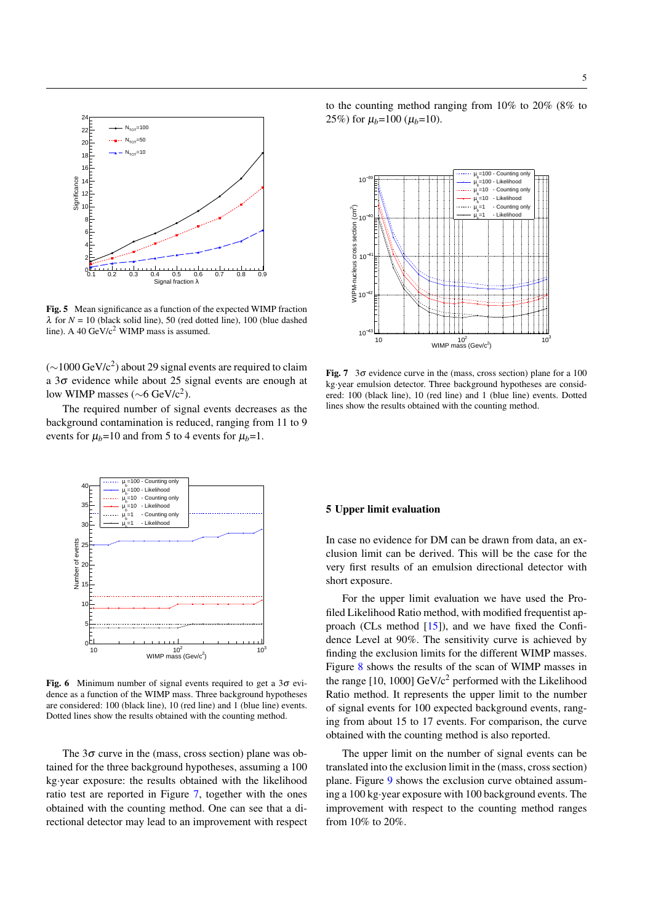

<span id="page-4-0"></span>Fig. 5 Mean significance as a function of the expected WIMP fraction  $\lambda$  for  $N = 10$  (black solid line), 50 (red dotted line), 100 (blue dashed line). A 40 GeV/ $c^2$  WIMP mass is assumed.

 $(\sim]1000 \,\text{GeV/c}^2$ ) about 29 signal events are required to claim a  $3\sigma$  evidence while about 25 signal events are enough at low WIMP masses ( $\sim$ 6 GeV/c<sup>2</sup>).

The required number of signal events decreases as the background contamination is reduced, ranging from 11 to 9 events for  $\mu_b$ =10 and from 5 to 4 events for  $\mu_b$ =1.





<span id="page-4-2"></span>Fig. 7  $3\sigma$  evidence curve in the (mass, cross section) plane for a 100 kg·year emulsion detector. Three background hypotheses are considered: 100 (black line), 10 (red line) and 1 (blue line) events. Dotted lines show the results obtained with the counting method.



<span id="page-4-1"></span>Fig. 6 Minimum number of signal events required to get a  $3\sigma$  evidence as a function of the WIMP mass. Three background hypotheses are considered: 100 (black line), 10 (red line) and 1 (blue line) events. Dotted lines show the results obtained with the counting method.

The  $3\sigma$  curve in the (mass, cross section) plane was obtained for the three background hypotheses, assuming a 100 kg·year exposure: the results obtained with the likelihood ratio test are reported in Figure [7,](#page-4-2) together with the ones obtained with the counting method. One can see that a directional detector may lead to an improvement with respect

### 5 Upper limit evaluation

In case no evidence for DM can be drawn from data, an exclusion limit can be derived. This will be the case for the very first results of an emulsion directional detector with short exposure.

For the upper limit evaluation we have used the Profiled Likelihood Ratio method, with modified frequentist approach (CLs method [\[15\]](#page-7-14)), and we have fixed the Confidence Level at 90%. The sensitivity curve is achieved by finding the exclusion limits for the different WIMP masses. Figure [8](#page-5-0) shows the results of the scan of WIMP masses in the range  $[10, 1000]$  GeV/ $c<sup>2</sup>$  performed with the Likelihood Ratio method. It represents the upper limit to the number of signal events for 100 expected background events, ranging from about 15 to 17 events. For comparison, the curve obtained with the counting method is also reported.

The upper limit on the number of signal events can be translated into the exclusion limit in the (mass, cross section) plane. Figure [9](#page-5-1) shows the exclusion curve obtained assuming a 100 kg·year exposure with 100 background events. The improvement with respect to the counting method ranges from 10% to 20%.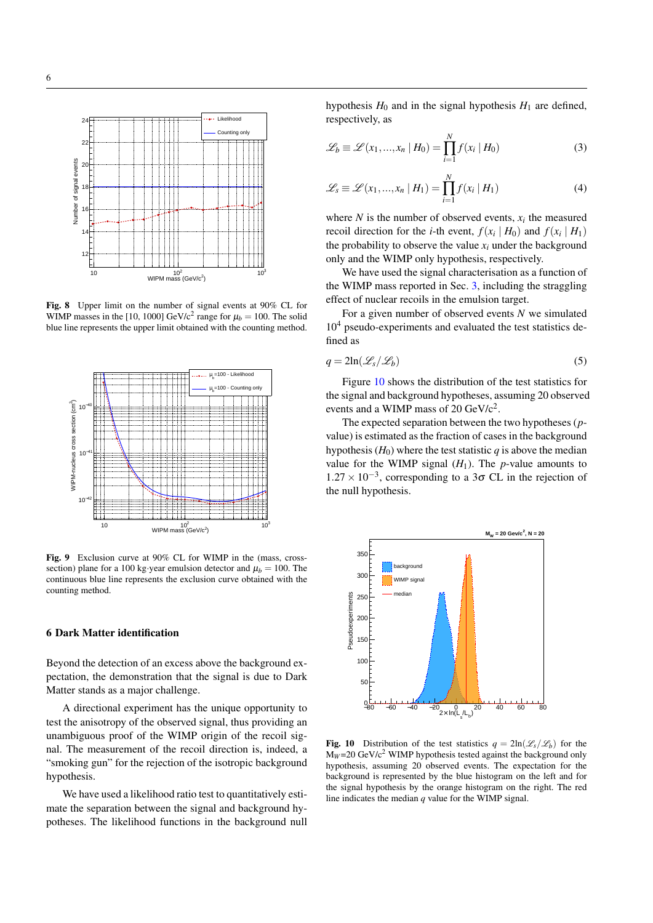

<span id="page-5-0"></span>Fig. 8 Upper limit on the number of signal events at 90% CL for WIMP masses in the [10, 1000] GeV/c<sup>2</sup> range for  $\mu_b = 100$ . The solid blue line represents the upper limit obtained with the counting method.



<span id="page-5-1"></span>Fig. 9 Exclusion curve at 90% CL for WIMP in the (mass, crosssection) plane for a 100 kg·year emulsion detector and  $\mu_b = 100$ . The continuous blue line represents the exclusion curve obtained with the counting method.

## 6 Dark Matter identification

Beyond the detection of an excess above the background expectation, the demonstration that the signal is due to Dark Matter stands as a major challenge.

A directional experiment has the unique opportunity to test the anisotropy of the observed signal, thus providing an unambiguous proof of the WIMP origin of the recoil signal. The measurement of the recoil direction is, indeed, a "smoking gun" for the rejection of the isotropic background hypothesis.

We have used a likelihood ratio test to quantitatively estimate the separation between the signal and background hypotheses. The likelihood functions in the background null hypothesis  $H_0$  and in the signal hypothesis  $H_1$  are defined, respectively, as

$$
\mathcal{L}_b \equiv \mathcal{L}(x_1, \dots, x_n \mid H_0) = \prod_{i=1}^N f(x_i \mid H_0)
$$
\n(3)

$$
\mathcal{L}_s \equiv \mathcal{L}(x_1, \dots, x_n \mid H_1) = \prod_{i=1}^N f(x_i \mid H_1)
$$
\n(4)

where  $N$  is the number of observed events,  $x_i$  the measured recoil direction for the *i*-th event,  $f(x_i | H_0)$  and  $f(x_i | H_1)$ the probability to observe the value  $x_i$  under the background only and the WIMP only hypothesis, respectively.

We have used the signal characterisation as a function of the WIMP mass reported in Sec. [3,](#page-2-1) including the straggling effect of nuclear recoils in the emulsion target.

For a given number of observed events *N* we simulated  $10<sup>4</sup>$  pseudo-experiments and evaluated the test statistics defined as

$$
q = 2\ln(\mathcal{L}_s/\mathcal{L}_b) \tag{5}
$$

Figure [10](#page-5-2) shows the distribution of the test statistics for the signal and background hypotheses, assuming 20 observed events and a WIMP mass of 20  $GeV/c^2$ .

The expected separation between the two hypotheses (*p*value) is estimated as the fraction of cases in the background hypothesis  $(H_0)$  where the test statistic  $q$  is above the median value for the WIMP signal  $(H_1)$ . The *p*-value amounts to  $1.27 \times 10^{-3}$ , corresponding to a 3σ CL in the rejection of the null hypothesis.



<span id="page-5-2"></span>**Fig. 10** Distribution of the test statistics  $q = 2\ln(\mathcal{L}_s/\mathcal{L}_b)$  for the  $M_W = 20 \text{ GeV}/c^2$  WIMP hypothesis tested against the background only hypothesis, assuming 20 observed events. The expectation for the background is represented by the blue histogram on the left and for the signal hypothesis by the orange histogram on the right. The red line indicates the median *q* value for the WIMP signal.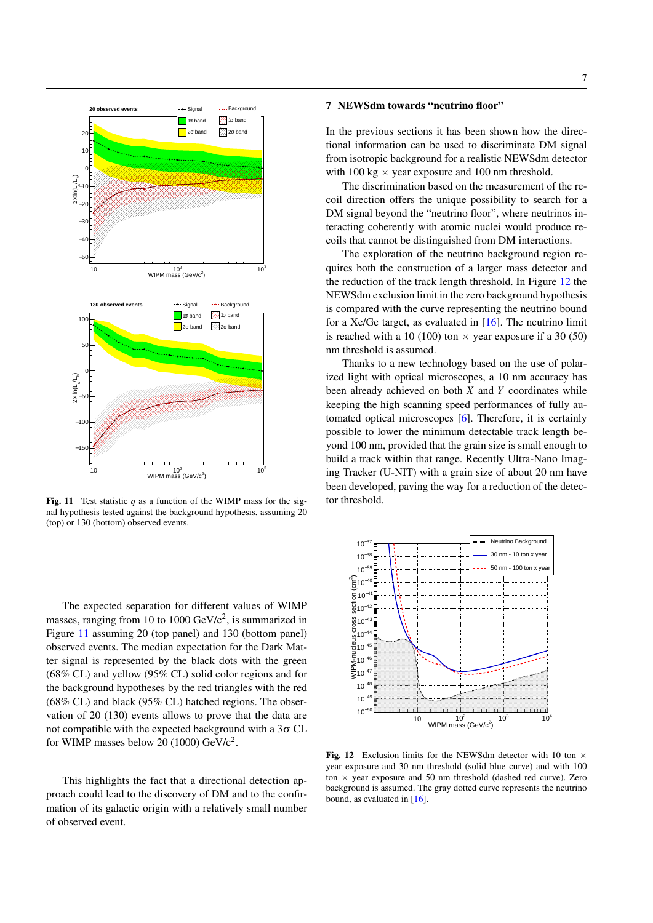

<span id="page-6-0"></span>Fig. 11 Test statistic  $q$  as a function of the WIMP mass for the signal hypothesis tested against the background hypothesis, assuming 20 (top) or 130 (bottom) observed events.

The expected separation for different values of WIMP masses, ranging from 10 to 1000  $GeV/c^2$ , is summarized in Figure [11](#page-6-0) assuming 20 (top panel) and 130 (bottom panel) observed events. The median expectation for the Dark Matter signal is represented by the black dots with the green (68% CL) and yellow (95% CL) solid color regions and for the background hypotheses by the red triangles with the red (68% CL) and black (95% CL) hatched regions. The observation of 20 (130) events allows to prove that the data are not compatible with the expected background with a  $3\sigma$  CL for WIMP masses below 20 (1000)  $GeV/c^2$ .

This highlights the fact that a directional detection approach could lead to the discovery of DM and to the confirmation of its galactic origin with a relatively small number of observed event.

# 7 NEWSdm towards "neutrino floor"

In the previous sections it has been shown how the directional information can be used to discriminate DM signal from isotropic background for a realistic NEWSdm detector with 100 kg  $\times$  year exposure and 100 nm threshold.

The discrimination based on the measurement of the recoil direction offers the unique possibility to search for a DM signal beyond the "neutrino floor", where neutrinos interacting coherently with atomic nuclei would produce recoils that cannot be distinguished from DM interactions.

The exploration of the neutrino background region requires both the construction of a larger mass detector and the reduction of the track length threshold. In Figure [12](#page-6-1) the NEWSdm exclusion limit in the zero background hypothesis is compared with the curve representing the neutrino bound for a Xe/Ge target, as evaluated in  $[16]$ . The neutrino limit is reached with a 10 (100) ton  $\times$  year exposure if a 30 (50) nm threshold is assumed.

Thanks to a new technology based on the use of polarized light with optical microscopes, a 10 nm accuracy has been already achieved on both *X* and *Y* coordinates while keeping the high scanning speed performances of fully automated optical microscopes [\[6\]](#page-7-5). Therefore, it is certainly possible to lower the minimum detectable track length beyond 100 nm, provided that the grain size is small enough to build a track within that range. Recently Ultra-Nano Imaging Tracker (U-NIT) with a grain size of about 20 nm have been developed, paving the way for a reduction of the detector threshold.



<span id="page-6-1"></span>Fig. 12 Exclusion limits for the NEWSdm detector with 10 ton  $\times$ year exposure and 30 nm threshold (solid blue curve) and with 100 ton  $\times$  year exposure and 50 nm threshold (dashed red curve). Zero background is assumed. The gray dotted curve represents the neutrino bound, as evaluated in [\[16\]](#page-7-15).